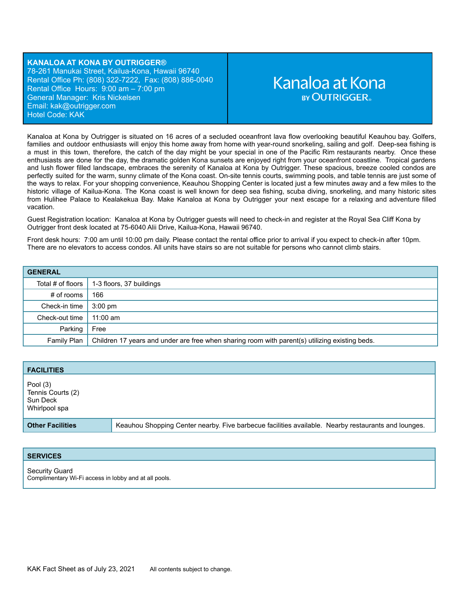**KANALOA AT KONA BY OUTRIGGER®** 78-261 Manukai Street, Kailua-Kona, Hawaii 96740 Rental Office Ph: (808) 322-7222, Fax: (808) 886-0040 Rental Office Hours: 9:00 am – 7:00 pm General Manager: Kris Nickelsen Email: ka[k@outrigger.com](mailto:orf@outrigger.com) Hotel Code: KAK

# Kanaloa at Kona **BY OUTRIGGER**

Kanaloa at Kona by Outrigger is situated on 16 acres of a secluded oceanfront lava flow overlooking beautiful Keauhou bay. Golfers, families and outdoor enthusiasts will enjoy this home away from home with year-round snorkeling, sailing and golf. Deep-sea fishing is a must in this town, therefore, the catch of the day might be your special in one of the Pacific Rim restaurants nearby. Once these enthusiasts are done for the day, the dramatic golden Kona sunsets are enjoyed right from your oceanfront coastline. Tropical gardens and lush flower filled landscape, embraces the serenity of Kanaloa at Kona by Outrigger. These spacious, breeze cooled condos are perfectly suited for the warm, sunny climate of the Kona coast. On-site tennis courts, swimming pools, and table tennis are just some of the ways to relax. For your shopping convenience, Keauhou Shopping Center is located just a few minutes away and a few miles to the historic village of Kailua-Kona. The Kona coast is well known for deep sea fishing, scuba diving, snorkeling, and many historic sites from Hulihee Palace to Kealakekua Bay. Make Kanaloa at Kona by Outrigger your next escape for a relaxing and adventure filled vacation.

Guest Registration location: Kanaloa at Kona by Outrigger guests will need to check-in and register at the Royal Sea Cliff Kona by Outrigger front desk located at 75-6040 Alii Drive, Kailua-Kona, Hawaii 96740.

Front desk hours: 7:00 am until 10:00 pm daily. Please contact the rental office prior to arrival if you expect to check-in after 10pm. There are no elevators to access condos. All units have stairs so are not suitable for persons who cannot climb stairs.

| <b>GENERAL</b>                |                                                                                                |
|-------------------------------|------------------------------------------------------------------------------------------------|
| Total # of floors $\parallel$ | 1-3 floors, 37 buildings                                                                       |
| # of rooms                    | 166                                                                                            |
| Check-in time                 | $3:00 \text{ pm}$                                                                              |
| Check-out time                | $11:00$ am                                                                                     |
| Parking                       | Free                                                                                           |
| Family Plan                   | Children 17 years and under are free when sharing room with parent(s) utilizing existing beds. |

| <b>FACILITIES</b>                                            |                                                                                                     |
|--------------------------------------------------------------|-----------------------------------------------------------------------------------------------------|
| Pool $(3)$<br>Tennis Courts (2)<br>Sun Deck<br>Whirlpool spa |                                                                                                     |
| <b>Other Facilities</b>                                      | Keauhou Shopping Center nearby. Five barbecue facilities available. Nearby restaurants and lounges. |

#### **SERVICES**

Security Guard Complimentary Wi-Fi access in lobby and at all pools.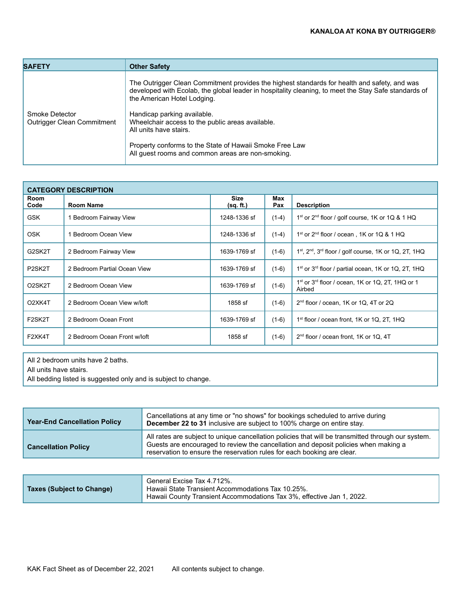| <b>SAFETY</b>                                       | <b>Other Safety</b>                                                                                                                                                                                                                                                                                                                                                                                                                                              |
|-----------------------------------------------------|------------------------------------------------------------------------------------------------------------------------------------------------------------------------------------------------------------------------------------------------------------------------------------------------------------------------------------------------------------------------------------------------------------------------------------------------------------------|
| Smoke Detector<br><b>Outrigger Clean Commitment</b> | The Outrigger Clean Commitment provides the highest standards for health and safety, and was<br>developed with Ecolab, the global leader in hospitality cleaning, to meet the Stay Safe standards of<br>the American Hotel Lodging.<br>Handicap parking available.<br>Wheelchair access to the public areas available.<br>All units have stairs.<br>Property conforms to the State of Hawaii Smoke Free Law<br>All guest rooms and common areas are non-smoking. |

| <b>CATEGORY DESCRIPTION</b>      |                              |                          |            |                                                                                    |
|----------------------------------|------------------------------|--------------------------|------------|------------------------------------------------------------------------------------|
| Room<br>Code                     | <b>Room Name</b>             | <b>Size</b><br>(sq. ft.) | Max<br>Pax | <b>Description</b>                                                                 |
| <b>GSK</b>                       | Bedroom Fairway View         | 1248-1336 sf             | $(1-4)$    | $1st$ or $2nd$ floor / golf course, 1K or 1Q & 1 HQ                                |
| 0SK                              | Bedroom Ocean View           | 1248-1336 sf             | $(1-4)$    | 1 <sup>st</sup> or $2nd$ floor / ocean, 1K or 1Q & 1 HQ                            |
| G2SK2T                           | 2 Bedroom Fairway View       | 1639-1769 sf             | $(1-6)$    | $1st$ , $2nd$ , $3rd$ floor / golf course, 1K or 1Q, 2T, 1HQ                       |
| P <sub>2</sub> SK <sub>2</sub> T | 2 Bedroom Partial Ocean View | 1639-1769 sf             | $(1-6)$    | 1 <sup>st</sup> or 3 <sup>rd</sup> floor / partial ocean, 1K or 1Q, 2T, 1HQ        |
| O <sub>2</sub> SK <sub>2</sub> T | 2 Bedroom Ocean View         | 1639-1769 sf             | $(1-6)$    | 1 <sup>st</sup> or 3 <sup>rd</sup> floor / ocean, 1K or 1Q, 2T, 1HQ or 1<br>Airbed |
| O2XK4T                           | 2 Bedroom Ocean View w/loft  | 1858 sf                  | $(1-6)$    | 2 <sup>nd</sup> floor / ocean, 1K or 1Q, 4T or 2Q                                  |
| F2SK2T                           | 2 Bedroom Ocean Front        | 1639-1769 sf             | $(1-6)$    | 1 <sup>st</sup> floor / ocean front, 1K or 1Q, 2T, 1HQ                             |
| F2XK4T                           | 2 Bedroom Ocean Front w/loft | 1858 sf                  | $(1-6)$    | 2 <sup>nd</sup> floor / ocean front, 1K or 1Q, 4T                                  |

All 2 bedroom units have 2 baths.

All units have stairs.

All bedding listed is suggested only and is subject to change.

| <b>Year-End Cancellation Policy</b> | Cancellations at any time or "no shows" for bookings scheduled to arrive during<br>December 22 to 31 inclusive are subject to 100% charge on entire stay.                                                                                                            |
|-------------------------------------|----------------------------------------------------------------------------------------------------------------------------------------------------------------------------------------------------------------------------------------------------------------------|
| <b>Cancellation Policy</b>          | All rates are subject to unique cancellation policies that will be transmitted through our system.<br>Guests are encouraged to review the cancellation and deposit policies when making a<br>reservation to ensure the reservation rules for each booking are clear. |

| Taxes (Subject to Change) | General Excise Tax 4.712%.<br>Hawaii State Transient Accommodations Tax 10.25%. |
|---------------------------|---------------------------------------------------------------------------------|
|                           | Hawaii County Transient Accommodations Tax 3%, effective Jan 1, 2022.           |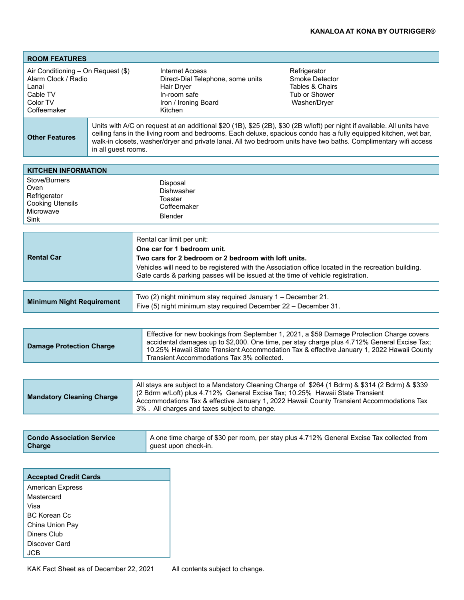| <b>ROOM FEATURES</b>                                                                                                                                                                                                                                                                                                                                                                                             |  |                                                                                                                                                                                                                                                                                                                                     |                                                                                                                                                                                                                                                                               |  |  |
|------------------------------------------------------------------------------------------------------------------------------------------------------------------------------------------------------------------------------------------------------------------------------------------------------------------------------------------------------------------------------------------------------------------|--|-------------------------------------------------------------------------------------------------------------------------------------------------------------------------------------------------------------------------------------------------------------------------------------------------------------------------------------|-------------------------------------------------------------------------------------------------------------------------------------------------------------------------------------------------------------------------------------------------------------------------------|--|--|
| Air Conditioning - On Request (\$)<br>Alarm Clock / Radio<br>Lanai<br>Cable TV<br>Color TV<br>Coffeemaker                                                                                                                                                                                                                                                                                                        |  | <b>Internet Access</b><br>Direct-Dial Telephone, some units<br>Hair Dryer<br>In-room safe<br>Iron / Ironing Board<br>Kitchen                                                                                                                                                                                                        | Refrigerator<br>Smoke Detector<br>Tables & Chairs<br>Tub or Shower<br>Washer/Dryer                                                                                                                                                                                            |  |  |
| Units with A/C on request at an additional \$20 (1B), \$25 (2B), \$30 (2B w/loft) per night if available. All units have<br>ceiling fans in the living room and bedrooms. Each deluxe, spacious condo has a fully equipped kitchen, wet bar,<br><b>Other Features</b><br>walk-in closets, washer/dryer and private lanai. All two bedroom units have two baths. Complimentary wifi access<br>in all guest rooms. |  |                                                                                                                                                                                                                                                                                                                                     |                                                                                                                                                                                                                                                                               |  |  |
| <b>KITCHEN INFORMATION</b>                                                                                                                                                                                                                                                                                                                                                                                       |  |                                                                                                                                                                                                                                                                                                                                     |                                                                                                                                                                                                                                                                               |  |  |
| Stove/Burners<br>Disposal<br>Oven<br>Dishwasher<br>Refrigerator<br>Toaster<br><b>Cooking Utensils</b><br>Coffeemaker<br>Microwave<br>Blender<br>Sink                                                                                                                                                                                                                                                             |  |                                                                                                                                                                                                                                                                                                                                     |                                                                                                                                                                                                                                                                               |  |  |
| <b>Rental Car</b>                                                                                                                                                                                                                                                                                                                                                                                                |  | Rental car limit per unit:<br>One car for 1 bedroom unit.<br>Two cars for 2 bedroom or 2 bedroom with loft units.<br>Vehicles will need to be registered with the Association office located in the recreation building.<br>Gate cards & parking passes will be issued at the time of vehicle registration.                         |                                                                                                                                                                                                                                                                               |  |  |
| <b>Minimum Night Requirement</b>                                                                                                                                                                                                                                                                                                                                                                                 |  | Two (2) night minimum stay required January 1 - December 21.<br>Five (5) night minimum stay required December 22 - December 31.                                                                                                                                                                                                     |                                                                                                                                                                                                                                                                               |  |  |
|                                                                                                                                                                                                                                                                                                                                                                                                                  |  |                                                                                                                                                                                                                                                                                                                                     |                                                                                                                                                                                                                                                                               |  |  |
| <b>Damage Protection Charge</b>                                                                                                                                                                                                                                                                                                                                                                                  |  | Effective for new bookings from September 1, 2021, a \$59 Damage Protection Charge covers<br>accidental damages up to \$2,000. One time, per stay charge plus 4.712% General Excise Tax;<br>10.25% Hawaii State Transient Accommodation Tax & effective January 1, 2022 Hawaii County<br>Transient Accommodations Tax 3% collected. |                                                                                                                                                                                                                                                                               |  |  |
|                                                                                                                                                                                                                                                                                                                                                                                                                  |  |                                                                                                                                                                                                                                                                                                                                     |                                                                                                                                                                                                                                                                               |  |  |
| <b>Mandatory Cleaning Charge</b>                                                                                                                                                                                                                                                                                                                                                                                 |  | 3%. All charges and taxes subject to change.                                                                                                                                                                                                                                                                                        | All stays are subject to a Mandatory Cleaning Charge of \$264 (1 Bdrm) & \$314 (2 Bdrm) & \$339<br>(2 Bdrm w/Loft) plus 4.712% General Excise Tax; 10.25% Hawaii State Transient<br>Accommodations Tax & effective January 1, 2022 Hawaii County Transient Accommodations Tax |  |  |
|                                                                                                                                                                                                                                                                                                                                                                                                                  |  |                                                                                                                                                                                                                                                                                                                                     |                                                                                                                                                                                                                                                                               |  |  |
| <b>Condo Association Service</b><br>Charge                                                                                                                                                                                                                                                                                                                                                                       |  | guest upon check-in.                                                                                                                                                                                                                                                                                                                | A one time charge of \$30 per room, per stay plus 4.712% General Excise Tax collected from                                                                                                                                                                                    |  |  |

| <b>Accepted Credit Cards</b> |  |  |
|------------------------------|--|--|
| <b>American Express</b>      |  |  |
| Mastercard                   |  |  |
| Visa                         |  |  |
| <b>BC Korean Cc</b>          |  |  |
| China Union Pay              |  |  |
| Diners Club                  |  |  |
| Discover Card                |  |  |
|                              |  |  |